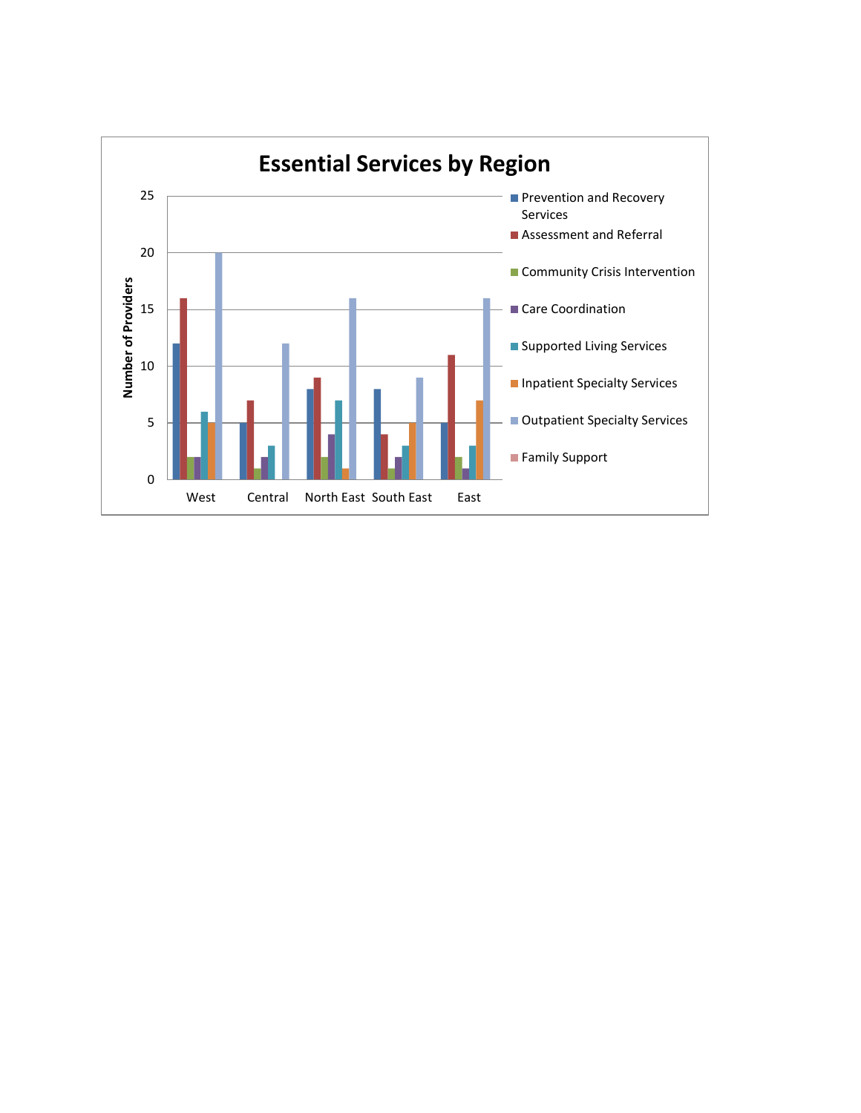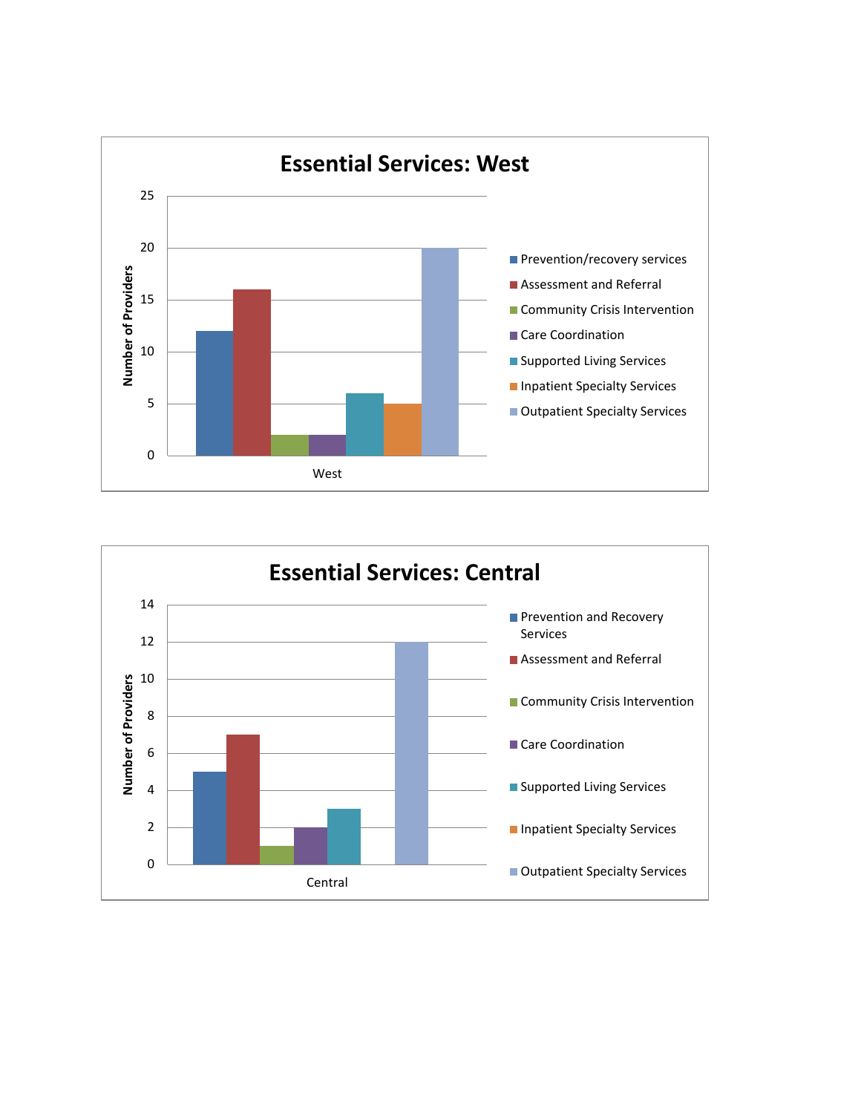

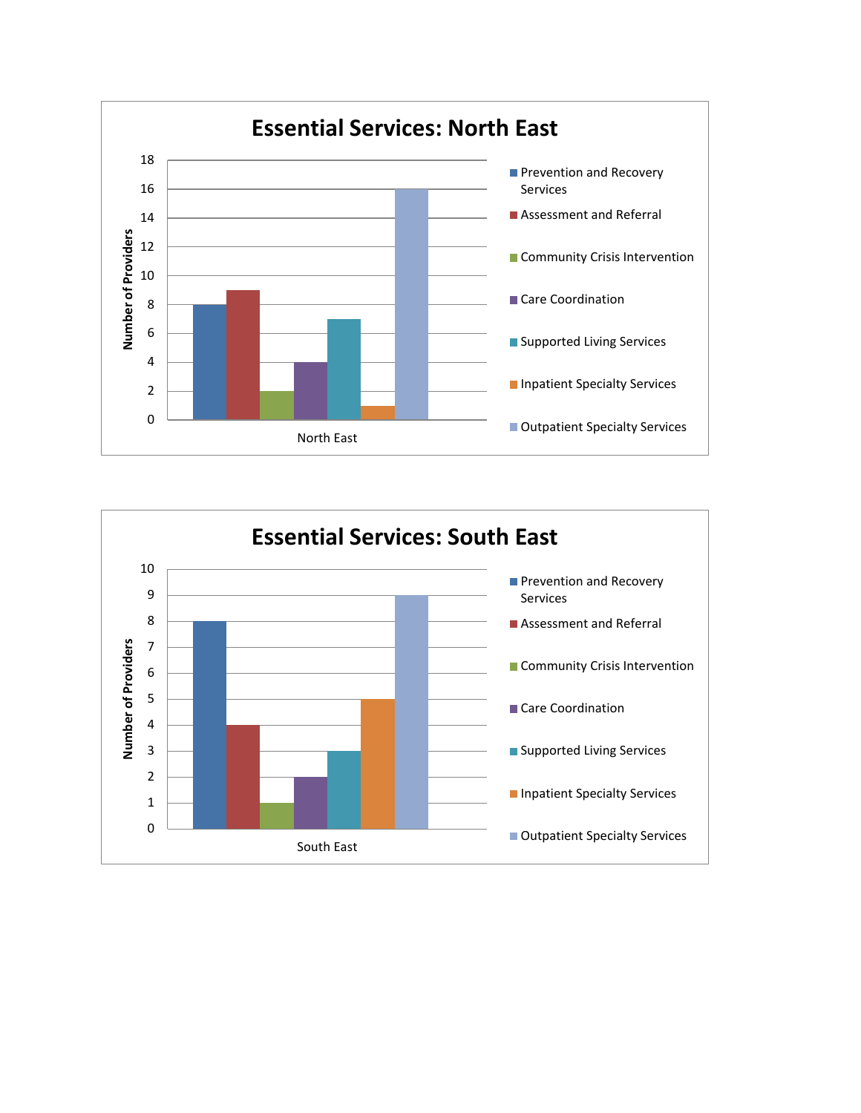

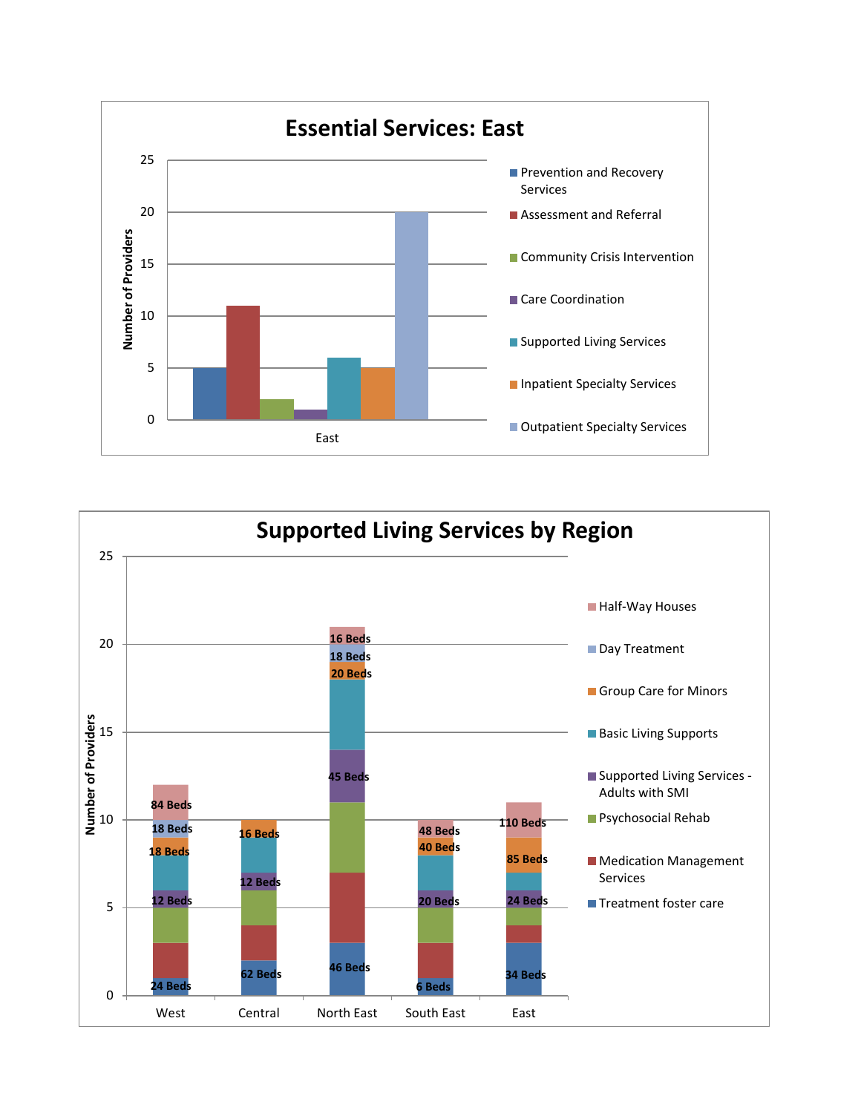

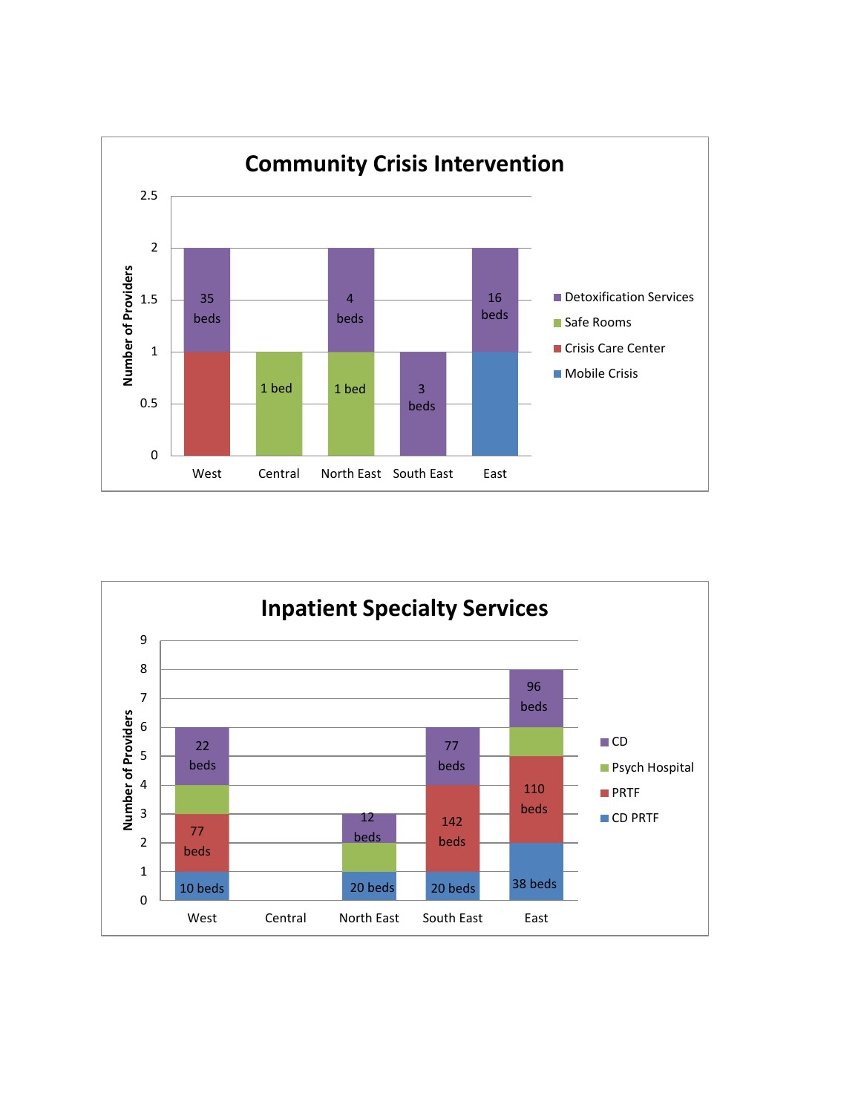